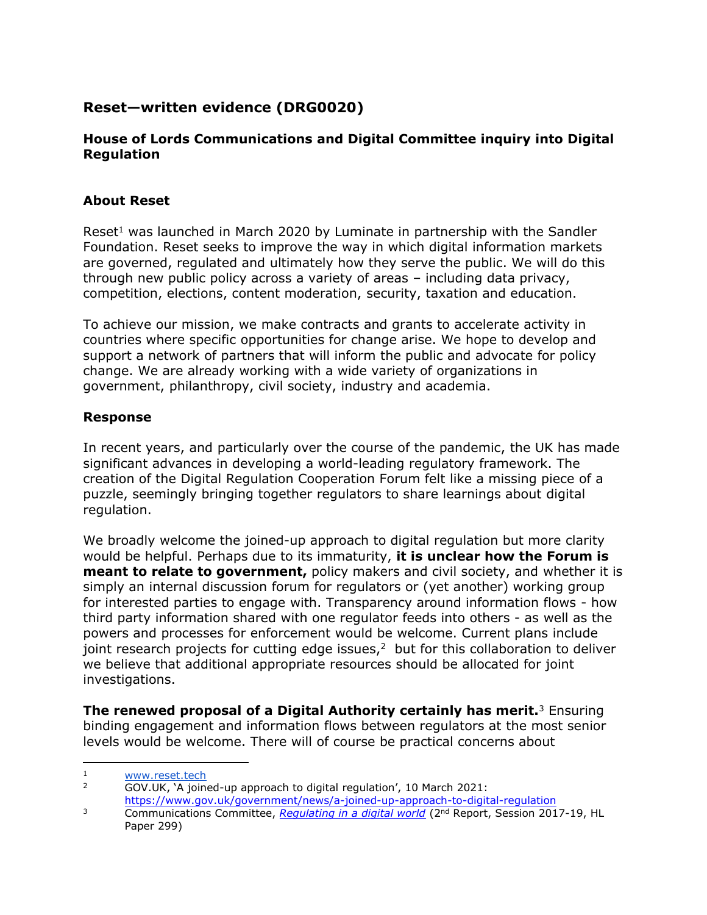## **Reset—written evidence (DRG0020)**

## **House of Lords Communications and Digital Committee inquiry into Digital Regulation**

## **About Reset**

Reset<sup>1</sup> was launched in March 2020 by Luminate in partnership with the Sandler Foundation. Reset seeks to improve the way in which digital information markets are governed, regulated and ultimately how they serve the public. We will do this through new public policy across a variety of areas – including data privacy, competition, elections, content moderation, security, taxation and education.

To achieve our mission, we make contracts and grants to accelerate activity in countries where specific opportunities for change arise. We hope to develop and support a network of partners that will inform the public and advocate for policy change. We are already working with a wide variety of organizations in government, philanthropy, civil society, industry and academia.

## **Response**

In recent years, and particularly over the course of the pandemic, the UK has made significant advances in developing a world-leading regulatory framework. The creation of the Digital Regulation Cooperation Forum felt like a missing piece of a puzzle, seemingly bringing together regulators to share learnings about digital regulation.

We broadly welcome the joined-up approach to digital regulation but more clarity would be helpful. Perhaps due to its immaturity, **it is unclear how the Forum is meant to relate to government,** policy makers and civil society, and whether it is simply an internal discussion forum for regulators or (yet another) working group for interested parties to engage with. Transparency around information flows - how third party information shared with one regulator feeds into others - as well as the powers and processes for enforcement would be welcome. Current plans include joint research projects for cutting edge issues, $2$  but for this collaboration to deliver we believe that additional appropriate resources should be allocated for joint investigations.

**The renewed proposal of a Digital Authority certainly has merit.**<sup>3</sup> Ensuring binding engagement and information flows between regulators at the most senior levels would be welcome. There will of course be practical concerns about

 $\frac{1}{2}$  www.reset.tech

<sup>2</sup> GOV.UK, 'A joined-up approach to digital regulation', 10 March 2021:

<https://www.gov.uk/government/news/a-joined-up-approach-to-digital-regulation>

<sup>3</sup> Communications Committee, *[Regulating](https://publications.parliament.uk/pa/ld201719/ldselect/ldcomuni/299/%2029909.htm#_idTextAnchor085) [in](https://publications.parliament.uk/pa/ld201719/ldselect/ldcomuni/299/%2029909.htm#_idTextAnchor085) [a](https://publications.parliament.uk/pa/ld201719/ldselect/ldcomuni/299/%2029909.htm#_idTextAnchor085) [digital](https://publications.parliament.uk/pa/ld201719/ldselect/ldcomuni/299/%2029909.htm#_idTextAnchor085) [world](https://publications.parliament.uk/pa/ld201719/ldselect/ldcomuni/299/%2029909.htm#_idTextAnchor085)* (2nd Report, Session 2017-19, HL Paper 299)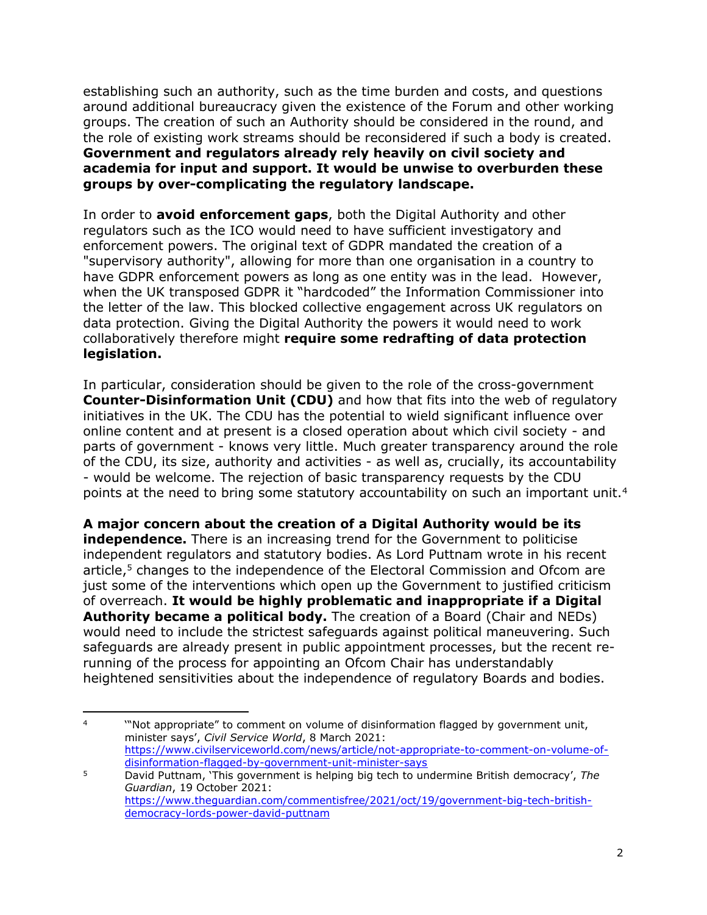establishing such an authority, such as the time burden and costs, and questions around additional bureaucracy given the existence of the Forum and other working groups. The creation of such an Authority should be considered in the round, and the role of existing work streams should be reconsidered if such a body is created. **Government and regulators already rely heavily on civil society and academia for input and support. It would be unwise to overburden these groups by over-complicating the regulatory landscape.**

In order to **avoid enforcement gaps**, both the Digital Authority and other regulators such as the ICO would need to have sufficient investigatory and enforcement powers. The original text of GDPR mandated the creation of a "supervisory authority", allowing for more than one organisation in a country to have GDPR enforcement powers as long as one entity was in the lead. However, when the UK transposed GDPR it "hardcoded" the Information Commissioner into the letter of the law. This blocked collective engagement across UK regulators on data protection. Giving the Digital Authority the powers it would need to work collaboratively therefore might **require some redrafting of data protection legislation.**

In particular, consideration should be given to the role of the cross-government **Counter-Disinformation Unit (CDU)** and how that fits into the web of regulatory initiatives in the UK. The CDU has the potential to wield significant influence over online content and at present is a closed operation about which civil society - and parts of government - knows very little. Much greater transparency around the role of the CDU, its size, authority and activities - as well as, crucially, its accountability - would be welcome. The rejection of basic transparency requests by the CDU points at the need to bring some statutory accountability on such an important unit.<sup>4</sup>

**A major concern about the creation of a Digital Authority would be its independence.** There is an increasing trend for the Government to politicise independent regulators and statutory bodies. As Lord Puttnam wrote in his recent article, $5$  changes to the independence of the Electoral Commission and Ofcom are just some of the interventions which open up the Government to justified criticism of overreach. **It would be highly problematic and inappropriate if a Digital Authority became a political body.** The creation of a Board (Chair and NEDs) would need to include the strictest safeguards against political maneuvering. Such safeguards are already present in public appointment processes, but the recent rerunning of the process for appointing an Ofcom Chair has understandably heightened sensitivities about the independence of regulatory Boards and bodies.

<sup>&</sup>lt;sup>4</sup> "Not appropriate" to comment on volume of disinformation flagged by government unit, minister says', *Civil Service World*, 8 March 2021: [https://www.civilserviceworld.com/news/article/not-appropriate-to-comment-on-volume-of](https://www.civilserviceworld.com/news/article/not-appropriate-to-comment-on-volume-of-disinformation-flagged-by-government-unit-minister-says)[disinformation-flagged-by-government-unit-minister-says](https://www.civilserviceworld.com/news/article/not-appropriate-to-comment-on-volume-of-disinformation-flagged-by-government-unit-minister-says)

<sup>5</sup> David Puttnam, 'This government is helping big tech to undermine British democracy', *The Guardian*, 19 October 2021: [https://www.theguardian.com/commentisfree/2021/oct/19/government-big-tech-british](https://www.theguardian.com/commentisfree/2021/oct/19/government-big-tech-british-democracy-lords-power-david-puttnam)[democracy-lords-power-david-puttnam](https://www.theguardian.com/commentisfree/2021/oct/19/government-big-tech-british-democracy-lords-power-david-puttnam)